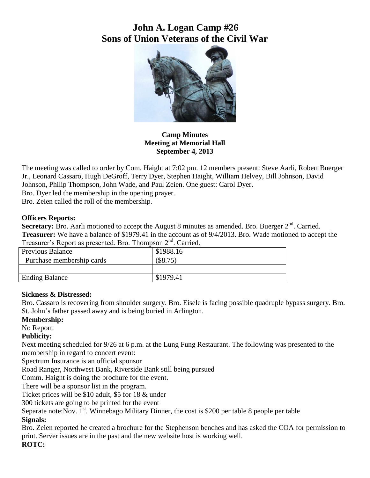# **John A. Logan Camp #26 Sons of Union Veterans of the Civil War**



**Camp Minutes Meeting at Memorial Hall September 4, 2013**

The meeting was called to order by Com. Haight at 7:02 pm. 12 members present: Steve Aarli, Robert Buerger Jr., Leonard Cassaro, Hugh DeGroff, Terry Dyer, Stephen Haight, William Helvey, Bill Johnson, David Johnson, Philip Thompson, John Wade, and Paul Zeien. One guest: Carol Dyer.

Bro. Dyer led the membership in the opening prayer.

Bro. Zeien called the roll of the membership.

#### **Officers Reports:**

Secretary: Bro. Aarli motioned to accept the August 8 minutes as amended. Bro. Buerger 2<sup>nd</sup>. Carried. **Treasurer:** We have a balance of \$1979.41 in the account as of 9/4/2013. Bro. Wade motioned to accept the Treasurer's Report as presented. Bro. Thompson  $2<sup>nd</sup>$ . Carried.

| <b>Previous Balance</b>   | \$1988.16  |
|---------------------------|------------|
| Purchase membership cards | $(\$8.75)$ |
|                           |            |
| <b>Ending Balance</b>     | \$1979.41  |
|                           |            |

#### **Sickness & Distressed:**

Bro. Cassaro is recovering from shoulder surgery. Bro. Eisele is facing possible quadruple bypass surgery. Bro. St. John's father passed away and is being buried in Arlington.

### **Membership:**

No Report.

#### **Publicity:**

Next meeting scheduled for 9/26 at 6 p.m. at the Lung Fung Restaurant. The following was presented to the membership in regard to concert event:

Spectrum Insurance is an official sponsor

Road Ranger, Northwest Bank, Riverside Bank still being pursued

Comm. Haight is doing the brochure for the event.

There will be a sponsor list in the program.

Ticket prices will be \$10 adult, \$5 for 18 & under

300 tickets are going to be printed for the event

Separate note:Nov.  $1<sup>st</sup>$ . Winnebago Military Dinner, the cost is \$200 per table 8 people per table

#### **Signals:**

Bro. Zeien reported he created a brochure for the Stephenson benches and has asked the COA for permission to print. Server issues are in the past and the new website host is working well.

**ROTC:**